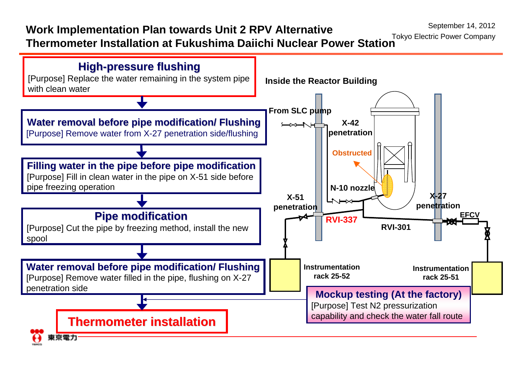September 14, 2012

## **Work Implementation Plan towards Unit 2 RPV Alternative**

**Thermometer Installation at Fukushima Daiichi Nuclear Power Station** Tokyo Electric Power Company